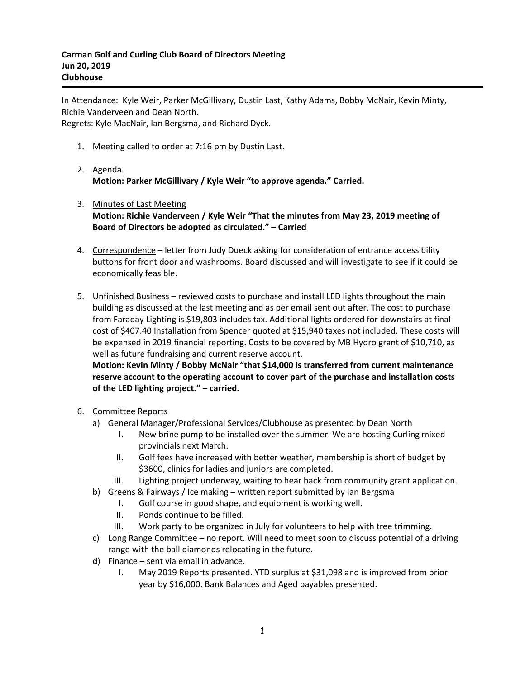In Attendance: Kyle Weir, Parker McGillivary, Dustin Last, Kathy Adams, Bobby McNair, Kevin Minty, Richie Vanderveen and Dean North. Regrets: Kyle MacNair, Ian Bergsma, and Richard Dyck.

- 1. Meeting called to order at 7:16 pm by Dustin Last.
- 2. Agenda. **Motion: Parker McGillivary / Kyle Weir "to approve agenda." Carried.**
- 3. Minutes of Last Meeting **Motion: Richie Vanderveen / Kyle Weir "That the minutes from May 23, 2019 meeting of Board of Directors be adopted as circulated." – Carried**
- 4. Correspondence letter from Judy Dueck asking for consideration of entrance accessibility buttons for front door and washrooms. Board discussed and will investigate to see if it could be economically feasible.
- 5. **Unfinished Business** reviewed costs to purchase and install LED lights throughout the main building as discussed at the last meeting and as per email sent out after. The cost to purchase from Faraday Lighting is \$19,803 includes tax. Additional lights ordered for downstairs at final cost of \$407.40 Installation from Spencer quoted at \$15,940 taxes not included. These costs will be expensed in 2019 financial reporting. Costs to be covered by MB Hydro grant of \$10,710, as well as future fundraising and current reserve account.

**Motion: Kevin Minty / Bobby McNair "that \$14,000 is transferred from current maintenance reserve account to the operating account to cover part of the purchase and installation costs of the LED lighting project." – carried.**

- 6. Committee Reports
	- a) General Manager/Professional Services/Clubhouse as presented by Dean North
		- I. New brine pump to be installed over the summer. We are hosting Curling mixed provincials next March.
		- II. Golf fees have increased with better weather, membership is short of budget by \$3600, clinics for ladies and juniors are completed.
		- III. Lighting project underway, waiting to hear back from community grant application.
	- b) Greens & Fairways / Ice making written report submitted by Ian Bergsma
		- I. Golf course in good shape, and equipment is working well.
		- II. Ponds continue to be filled.
		- III. Work party to be organized in July for volunteers to help with tree trimming.
	- c) Long Range Committee no report. Will need to meet soon to discuss potential of a driving range with the ball diamonds relocating in the future.
	- d) Finance sent via email in advance.
		- I. May 2019 Reports presented. YTD surplus at \$31,098 and is improved from prior year by \$16,000. Bank Balances and Aged payables presented.